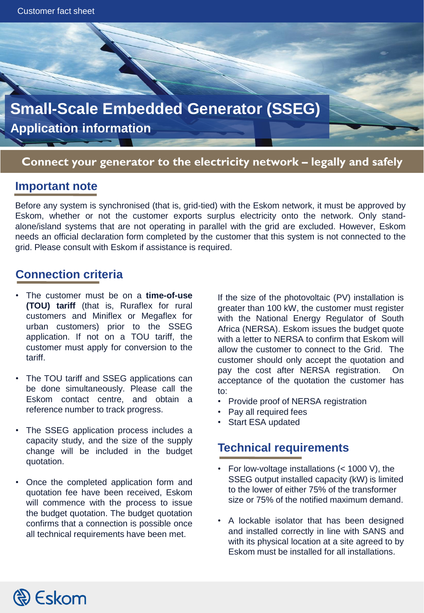

#### **Connect your generator to the electricity network – legally and safely**

#### **Important note**

Before any system is synchronised (that is, grid-tied) with the Eskom network, it must be approved by Eskom, whether or not the customer exports surplus electricity onto the network. Only standalone/island systems that are not operating in parallel with the grid are excluded. However, Eskom needs an official declaration form completed by the customer that this system is not connected to the grid. Please consult with Eskom if assistance is required.

## **Connection criteria**

- The customer must be on a **time-of-use (TOU) tariff** (that is, Ruraflex for rural customers and Miniflex or Megaflex for urban customers) prior to the SSEG application. If not on a TOU tariff, the customer must apply for conversion to the tariff.
- The TOU tariff and SSEG applications can be done simultaneously. Please call the Eskom contact centre, and obtain a reference number to track progress.
- The SSEG application process includes a capacity study, and the size of the supply change will be included in the budget quotation.
- Once the completed application form and quotation fee have been received, Eskom will commence with the process to issue the budget quotation. The budget quotation confirms that a connection is possible once all technical requirements have been met.

If the size of the photovoltaic (PV) installation is greater than 100 kW, the customer must register with the National Energy Regulator of South Africa (NERSA). Eskom issues the budget quote with a letter to NERSA to confirm that Eskom will allow the customer to connect to the Grid. The customer should only accept the quotation and pay the cost after NERSA registration. On acceptance of the quotation the customer has to:

- Provide proof of NERSA registration
- Pay all required fees
- Start ESA updated

### **Technical requirements**

- For low-voltage installations (< 1000 V), the SSEG output installed capacity (kW) is limited to the lower of either 75% of the transformer size or 75% of the notified maximum demand.
- A lockable isolator that has been designed and installed correctly in line with SANS and with its physical location at a site agreed to by Eskom must be installed for all installations.